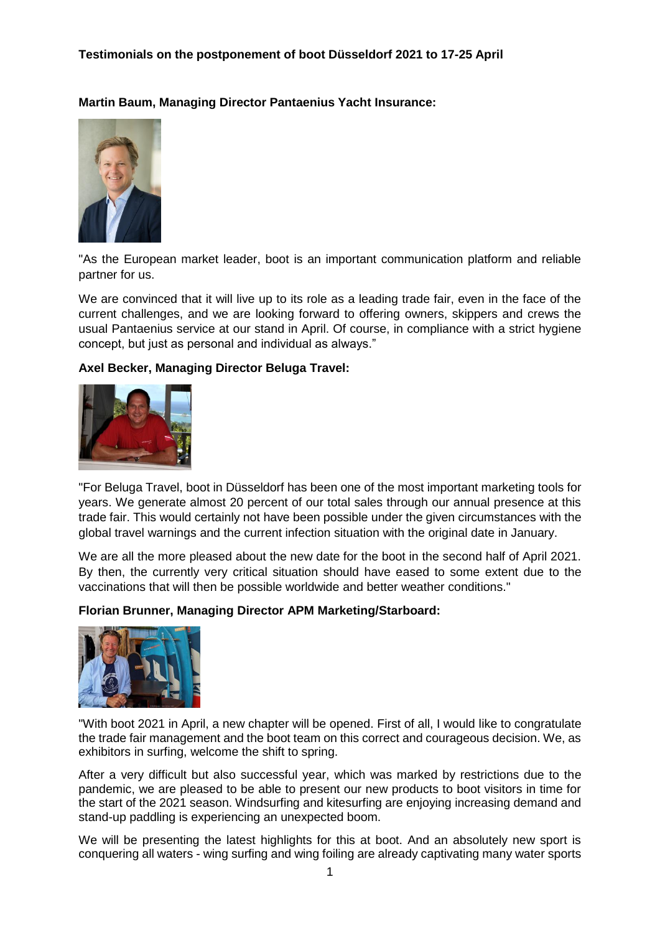## **Testimonials on the postponement of boot Düsseldorf 2021 to 17-25 April**

**Martin Baum, Managing Director Pantaenius Yacht Insurance:**



"As the European market leader, boot is an important communication platform and reliable partner for us.

We are convinced that it will live up to its role as a leading trade fair, even in the face of the current challenges, and we are looking forward to offering owners, skippers and crews the usual Pantaenius service at our stand in April. Of course, in compliance with a strict hygiene concept, but just as personal and individual as always."

#### **Axel Becker, Managing Director Beluga Travel:**



"For Beluga Travel, boot in Düsseldorf has been one of the most important marketing tools for years. We generate almost 20 percent of our total sales through our annual presence at this trade fair. This would certainly not have been possible under the given circumstances with the global travel warnings and the current infection situation with the original date in January.

We are all the more pleased about the new date for the boot in the second half of April 2021. By then, the currently very critical situation should have eased to some extent due to the vaccinations that will then be possible worldwide and better weather conditions."

#### **Florian Brunner, Managing Director APM Marketing/Starboard:**



"With boot 2021 in April, a new chapter will be opened. First of all, I would like to congratulate the trade fair management and the boot team on this correct and courageous decision. We, as exhibitors in surfing, welcome the shift to spring.

After a very difficult but also successful year, which was marked by restrictions due to the pandemic, we are pleased to be able to present our new products to boot visitors in time for the start of the 2021 season. Windsurfing and kitesurfing are enjoying increasing demand and stand-up paddling is experiencing an unexpected boom.

We will be presenting the latest highlights for this at boot. And an absolutely new sport is conquering all waters - wing surfing and wing foiling are already captivating many water sports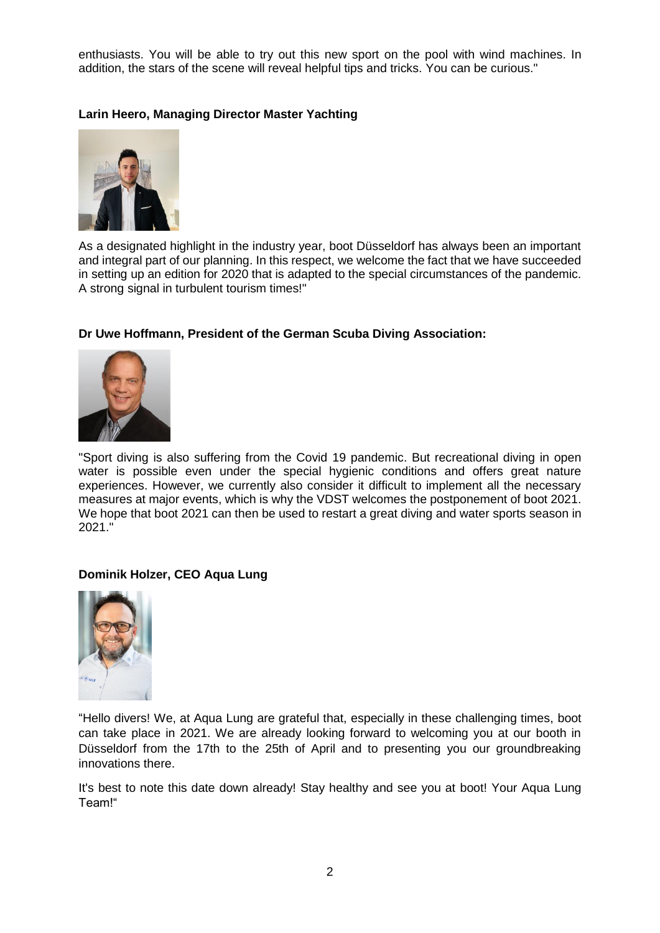enthusiasts. You will be able to try out this new sport on the pool with wind machines. In addition, the stars of the scene will reveal helpful tips and tricks. You can be curious."

### **Larin Heero, Managing Director Master Yachting**



As a designated highlight in the industry year, boot Düsseldorf has always been an important and integral part of our planning. In this respect, we welcome the fact that we have succeeded in setting up an edition for 2020 that is adapted to the special circumstances of the pandemic. A strong signal in turbulent tourism times!"

## **Dr Uwe Hoffmann, President of the German Scuba Diving Association:**



"Sport diving is also suffering from the Covid 19 pandemic. But recreational diving in open water is possible even under the special hygienic conditions and offers great nature experiences. However, we currently also consider it difficult to implement all the necessary measures at major events, which is why the VDST welcomes the postponement of boot 2021. We hope that boot 2021 can then be used to restart a great diving and water sports season in 2021."

#### **Dominik Holzer, CEO Aqua Lung**



"Hello divers! We, at Aqua Lung are grateful that, especially in these challenging times, boot can take place in 2021. We are already looking forward to welcoming you at our booth in Düsseldorf from the 17th to the 25th of April and to presenting you our groundbreaking innovations there.

It's best to note this date down already! Stay healthy and see you at boot! Your Aqua Lung Team!"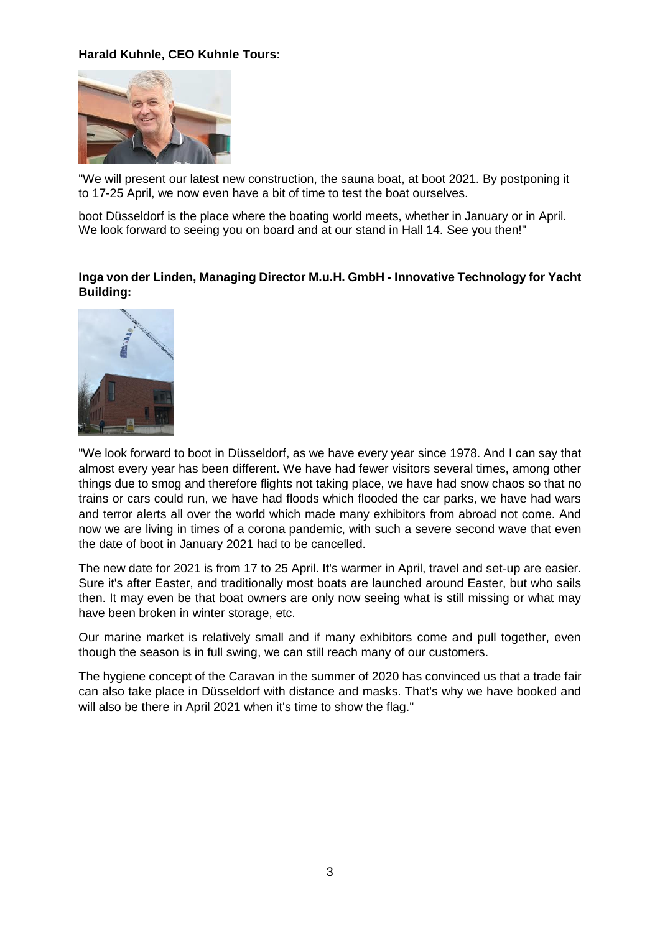## **Harald Kuhnle, CEO Kuhnle Tours:**



"We will present our latest new construction, the sauna boat, at boot 2021. By postponing it to 17-25 April, we now even have a bit of time to test the boat ourselves.

boot Düsseldorf is the place where the boating world meets, whether in January or in April. We look forward to seeing you on board and at our stand in Hall 14. See you then!"

## **Inga von der Linden, Managing Director M.u.H. GmbH - Innovative Technology for Yacht Building:**



"We look forward to boot in Düsseldorf, as we have every year since 1978. And I can say that almost every year has been different. We have had fewer visitors several times, among other things due to smog and therefore flights not taking place, we have had snow chaos so that no trains or cars could run, we have had floods which flooded the car parks, we have had wars and terror alerts all over the world which made many exhibitors from abroad not come. And now we are living in times of a corona pandemic, with such a severe second wave that even the date of boot in January 2021 had to be cancelled.

The new date for 2021 is from 17 to 25 April. It's warmer in April, travel and set-up are easier. Sure it's after Easter, and traditionally most boats are launched around Easter, but who sails then. It may even be that boat owners are only now seeing what is still missing or what may have been broken in winter storage, etc.

Our marine market is relatively small and if many exhibitors come and pull together, even though the season is in full swing, we can still reach many of our customers.

The hygiene concept of the Caravan in the summer of 2020 has convinced us that a trade fair can also take place in Düsseldorf with distance and masks. That's why we have booked and will also be there in April 2021 when it's time to show the flag."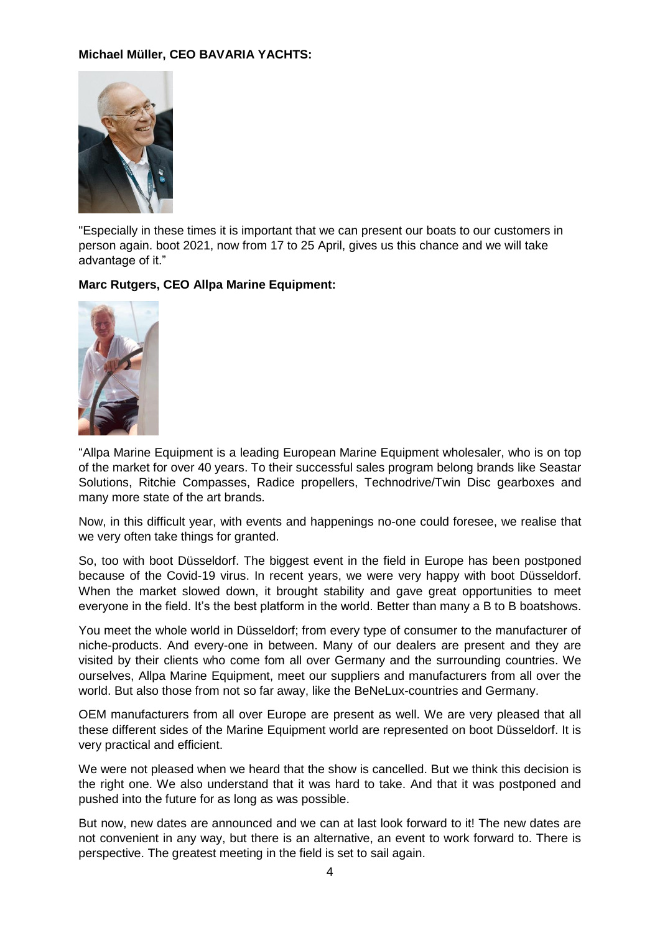# **Michael Müller, CEO BAVARIA YACHTS:**



"Especially in these times it is important that we can present our boats to our customers in person again. boot 2021, now from 17 to 25 April, gives us this chance and we will take advantage of it."

#### **Marc Rutgers, CEO Allpa Marine Equipment:**



"Allpa Marine Equipment is a leading European Marine Equipment wholesaler, who is on top of the market for over 40 years. To their successful sales program belong brands like Seastar Solutions, Ritchie Compasses, Radice propellers, Technodrive/Twin Disc gearboxes and many more state of the art brands.

Now, in this difficult year, with events and happenings no-one could foresee, we realise that we very often take things for granted.

So, too with boot Düsseldorf. The biggest event in the field in Europe has been postponed because of the Covid-19 virus. In recent years, we were very happy with boot Düsseldorf. When the market slowed down, it brought stability and gave great opportunities to meet everyone in the field. It's the best platform in the world. Better than many a B to B boatshows.

You meet the whole world in Düsseldorf; from every type of consumer to the manufacturer of niche-products. And every-one in between. Many of our dealers are present and they are visited by their clients who come fom all over Germany and the surrounding countries. We ourselves, Allpa Marine Equipment, meet our suppliers and manufacturers from all over the world. But also those from not so far away, like the BeNeLux-countries and Germany.

OEM manufacturers from all over Europe are present as well. We are very pleased that all these different sides of the Marine Equipment world are represented on boot Düsseldorf. It is very practical and efficient.

We were not pleased when we heard that the show is cancelled. But we think this decision is the right one. We also understand that it was hard to take. And that it was postponed and pushed into the future for as long as was possible.

But now, new dates are announced and we can at last look forward to it! The new dates are not convenient in any way, but there is an alternative, an event to work forward to. There is perspective. The greatest meeting in the field is set to sail again.